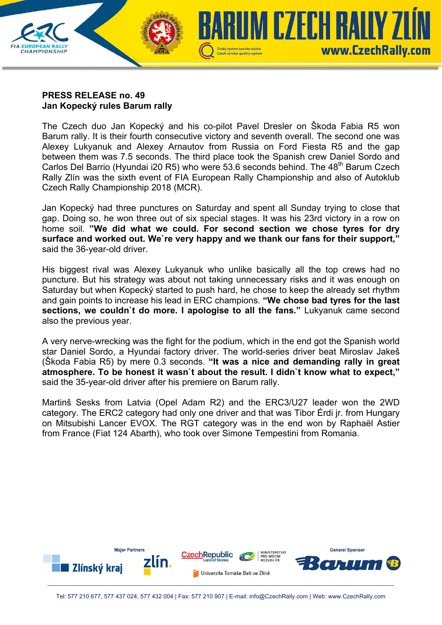

## **PRESS RELEASE no. 49 Jan Kopecký rules Barum rally**

The Czech duo Jan Kopecký and his co-pilot Pavel Dresler on Škoda Fabia R5 won Barum rally. It is their fourth consecutive victory and seventh overall. The second one was Alexey Lukyanuk and Alexey Arnautov from Russia on Ford Fiesta R5 and the gap between them was 7.5 seconds. The third place took the Spanish crew Daniel Sordo and Carlos Del Barrio (Hyundai i20 R5) who were 53.6 seconds behind. The 48<sup>th</sup> Barum Czech Rally Zlín was the sixth event of FIA European Rally Championship and also of Autoklub Czech Rally Championship 2018 (MCR).

Jan Kopecký had three punctures on Saturday and spent all Sunday trying to close that gap. Doing so, he won three out of six special stages. It was his 23rd victory in a row on home soil. **"We did what we could. For second section we chose tyres for dry surface and worked out. We`re very happy and we thank our fans for their support,"** said the 36-year-old driver.

His biggest rival was Alexey Lukyanuk who unlike basically all the top crews had no puncture. But his strategy was about not taking unnecessary risks and it was enough on Saturday but when Kopecký started to push hard, he chose to keep the already set rhythm and gain points to increase his lead in ERC champions. **"We chose bad tyres for the last sections, we couldn`t do more. I apologise to all the fans."** Lukyanuk came second also the previous year.

A very nerve-wrecking was the fight for the podium, which in the end got the Spanish world star Daniel Sordo, a Hyundai factory driver. The world-series driver beat Miroslav Jakeš (Škoda Fabia R5) by mere 0.3 seconds. **"It was a nice and demanding rally in great atmosphere. To be honest it wasn`t about the result. I didn`t know what to expect,"**  said the 35-year-old driver after his premiere on Barum rally.

Martinš Sesks from Latvia (Opel Adam R2) and the ERC3/U27 leader won the 2WD category. The ERC2 category had only one driver and that was Tibor Érdi jr. from Hungary on Mitsubishi Lancer EVOX. The RGT category was in the end won by Raphaël Astier from France (Fiat 124 Abarth), who took over Simone Tempestini from Romania.